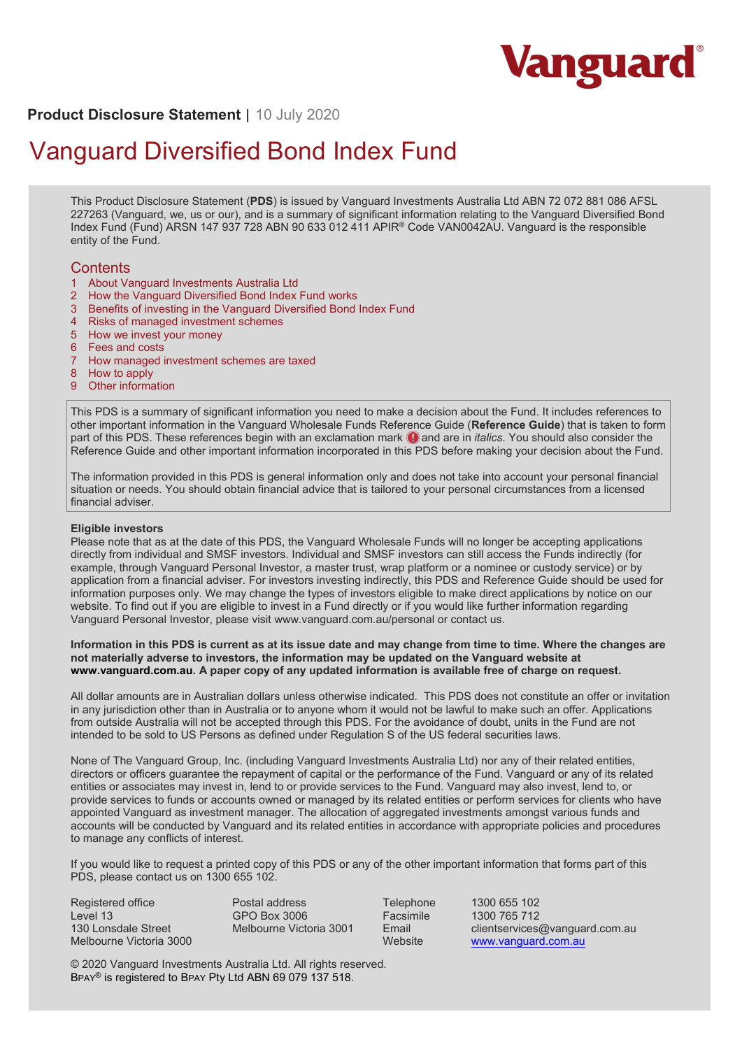

# **Product Disclosure Statement** | 10 July 2020

# Vanguard Diversified Bond Index Fund

This Product Disclosure Statement (**PDS**) is issued by Vanguard Investments Australia Ltd ABN 72 072 881 086 AFSL 227263 (Vanguard, we, us or our), and is a summary of significant information relating to the Vanguard Diversified Bond Index Fund (Fund) ARSN 147 937 728 ABN 90 633 012 411 APIR® Code VAN0042AU. Vanguard is the responsible entity of the Fund.

## **Contents**

- 1 About Vanguard Investments Australia Ltd
- 2 How the Vanguard Diversified Bond Index Fund works
- 3 Benefits of investing in the Vanguard Diversified Bond Index Fund
- 4 Risks of managed investment schemes
- 5 How we invest your money
- 6 Fees and costs
- 7 How managed investment schemes are taxed
- 8 How to apply
- 9 Other information

This PDS is a summary of significant information you need to make a decision about the Fund. It includes references to other important information in the Vanguard Wholesale Funds Reference Guide (**Reference Guide**) that is taken to form part of this PDS. These references begin with an exclamation mark **Q** and are in *italics*. You should also consider the Reference Guide and other important information incorporated in this PDS before making your decision about the Fund.

The information provided in this PDS is general information only and does not take into account your personal financial situation or needs. You should obtain financial advice that is tailored to your personal circumstances from a licensed financial adviser.

#### **Eligible investors**

Please note that as at the date of this PDS, the Vanguard Wholesale Funds will no longer be accepting applications directly from individual and SMSF investors. Individual and SMSF investors can still access the Funds indirectly (for example, through Vanguard Personal Investor, a master trust, wrap platform or a nominee or custody service) or by application from a financial adviser. For investors investing indirectly, this PDS and Reference Guide should be used for information purposes only. We may change the types of investors eligible to make direct applications by notice on our website. To find out if you are eligible to invest in a Fund directly or if you would like further information regarding Vanguard Personal Investor, please visit www.vanguard.com.au/personal or contact us.

#### **Information in this PDS is current as at its issue date and may change from time to time. Where the changes are not materially adverse to investors, the information may be updated on the Vanguard website at www.vanguard.com.au. A paper copy of any updated information is available free of charge on request.**

All dollar amounts are in Australian dollars unless otherwise indicated. This PDS does not constitute an offer or invitation in any jurisdiction other than in Australia or to anyone whom it would not be lawful to make such an offer. Applications from outside Australia will not be accepted through this PDS. For the avoidance of doubt, units in the Fund are not intended to be sold to US Persons as defined under Regulation S of the US federal securities laws.

None of The Vanguard Group, Inc. (including Vanguard Investments Australia Ltd) nor any of their related entities, directors or officers guarantee the repayment of capital or the performance of the Fund. Vanguard or any of its related entities or associates may invest in, lend to or provide services to the Fund. Vanguard may also invest, lend to, or provide services to funds or accounts owned or managed by its related entities or perform services for clients who have appointed Vanguard as investment manager. The allocation of aggregated investments amongst various funds and accounts will be conducted by Vanguard and its related entities in accordance with appropriate policies and procedures to manage any conflicts of interest.

If you would like to request a printed copy of this PDS or any of the other important information that forms part of this PDS, please contact us on 1300 655 102.

Registered office Level 13 130 Lonsdale Street Melbourne Victoria 3000 Postal address GPO Box 3006 Melbourne Victoria 3001

Telephone 1300 655 102 Facsimile 1300 765 712 Email clientservices@vanguard.com.au<br>Website www.vanguard.com.au www.vanguard.com.au

© 2020 Vanguard Investments Australia Ltd. All rights reserved. BPAY® is registered to BPAY Pty Ltd ABN 69 079 137 518.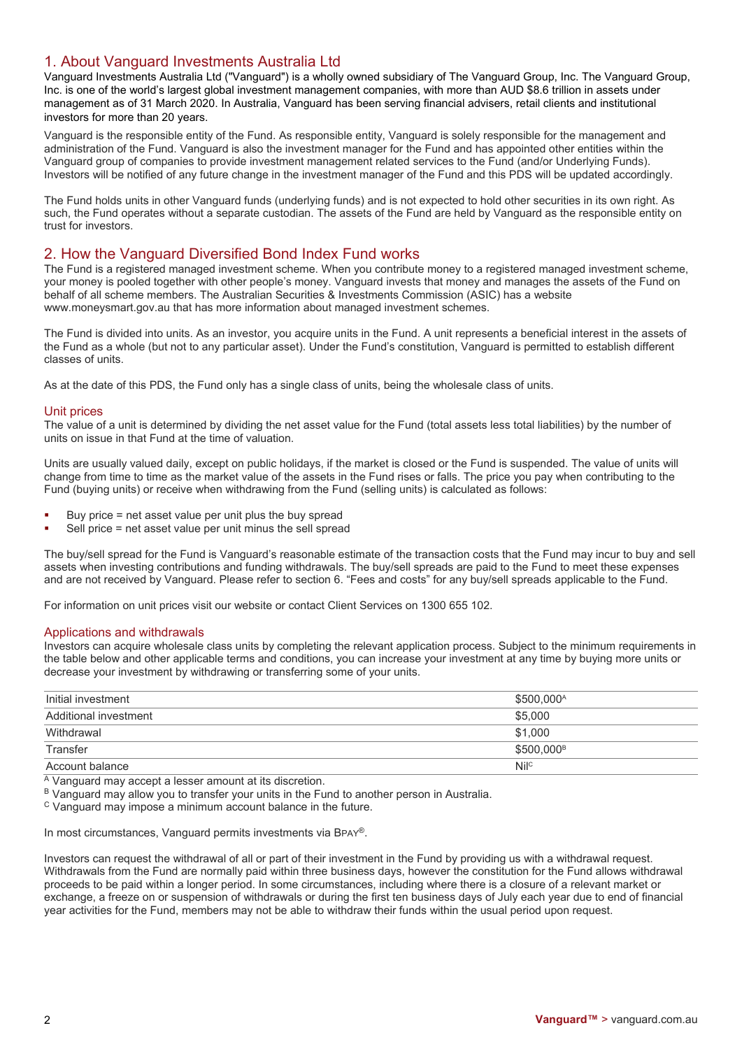# 1. About Vanguard Investments Australia Ltd

Vanguard Investments Australia Ltd ("Vanguard") is a wholly owned subsidiary of The Vanguard Group, Inc. The Vanguard Group, Inc. is one of the world's largest global investment management companies, with more than AUD \$8.6 trillion in assets under management as of 31 March 2020. In Australia, Vanguard has been serving financial advisers, retail clients and institutional investors for more than 20 years.

Vanguard is the responsible entity of the Fund. As responsible entity, Vanguard is solely responsible for the management and administration of the Fund. Vanguard is also the investment manager for the Fund and has appointed other entities within the Vanguard group of companies to provide investment management related services to the Fund (and/or Underlying Funds). Investors will be notified of any future change in the investment manager of the Fund and this PDS will be updated accordingly.

The Fund holds units in other Vanguard funds (underlying funds) and is not expected to hold other securities in its own right. As such, the Fund operates without a separate custodian. The assets of the Fund are held by Vanguard as the responsible entity on trust for investors.

# 2. How the Vanguard Diversified Bond Index Fund works

The Fund is a registered managed investment scheme. When you contribute money to a registered managed investment scheme, your money is pooled together with other people's money. Vanguard invests that money and manages the assets of the Fund on behalf of all scheme members. The Australian Securities & Investments Commission (ASIC) has a website www.moneysmart.gov.au that has more information about managed investment schemes.

The Fund is divided into units. As an investor, you acquire units in the Fund. A unit represents a beneficial interest in the assets of the Fund as a whole (but not to any particular asset). Under the Fund's constitution, Vanguard is permitted to establish different classes of units.

As at the date of this PDS, the Fund only has a single class of units, being the wholesale class of units.

## Unit prices

The value of a unit is determined by dividing the net asset value for the Fund (total assets less total liabilities) by the number of units on issue in that Fund at the time of valuation.

Units are usually valued daily, except on public holidays, if the market is closed or the Fund is suspended. The value of units will change from time to time as the market value of the assets in the Fund rises or falls. The price you pay when contributing to the Fund (buying units) or receive when withdrawing from the Fund (selling units) is calculated as follows:

- Buy price = net asset value per unit plus the buy spread
- Sell price = net asset value per unit minus the sell spread

The buy/sell spread for the Fund is Vanguard's reasonable estimate of the transaction costs that the Fund may incur to buy and sell assets when investing contributions and funding withdrawals. The buy/sell spreads are paid to the Fund to meet these expenses and are not received by Vanguard. Please refer to section 6. "Fees and costs" for any buy/sell spreads applicable to the Fund.

For information on unit prices visit our website or contact Client Services on 1300 655 102.

#### Applications and withdrawals

Investors can acquire wholesale class units by completing the relevant application process. Subject to the minimum requirements in the table below and other applicable terms and conditions, you can increase your investment at any time by buying more units or decrease your investment by withdrawing or transferring some of your units.

| Initial investment    | \$500,000 <sup>A</sup> |
|-----------------------|------------------------|
| Additional investment | \$5.000                |
| Withdrawal            | \$1.000                |
| Transfer              | \$500.000 <sup>B</sup> |
| Account balance       | Nil <sup>c</sup>       |

A Vanguard may accept a lesser amount at its discretion.

B Vanguard may allow you to transfer your units in the Fund to another person in Australia.

<sup>C</sup> Vanguard may impose a minimum account balance in the future.

In most circumstances, Vanguard permits investments via BPAY®.

Investors can request the withdrawal of all or part of their investment in the Fund by providing us with a withdrawal request. Withdrawals from the Fund are normally paid within three business days, however the constitution for the Fund allows withdrawal proceeds to be paid within a longer period. In some circumstances, including where there is a closure of a relevant market or exchange, a freeze on or suspension of withdrawals or during the first ten business days of July each year due to end of financial year activities for the Fund, members may not be able to withdraw their funds within the usual period upon request.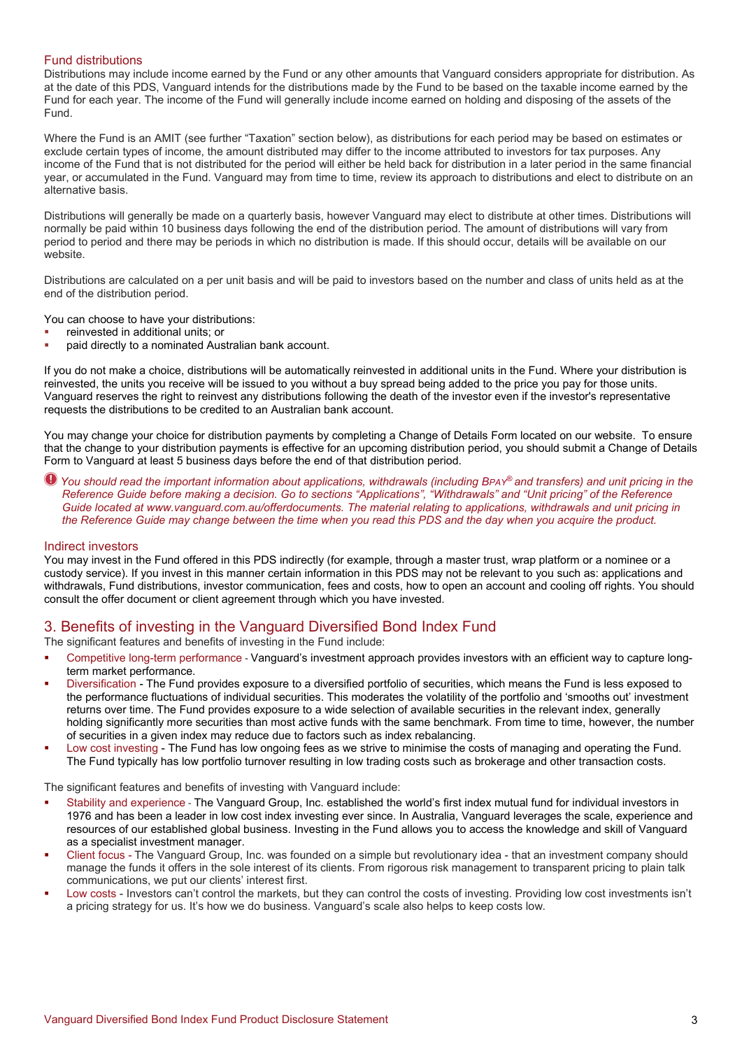## Fund distributions

Distributions may include income earned by the Fund or any other amounts that Vanguard considers appropriate for distribution. As at the date of this PDS, Vanguard intends for the distributions made by the Fund to be based on the taxable income earned by the Fund for each year. The income of the Fund will generally include income earned on holding and disposing of the assets of the Fund.

Where the Fund is an AMIT (see further "Taxation" section below), as distributions for each period may be based on estimates or exclude certain types of income, the amount distributed may differ to the income attributed to investors for tax purposes. Any income of the Fund that is not distributed for the period will either be held back for distribution in a later period in the same financial year, or accumulated in the Fund. Vanguard may from time to time, review its approach to distributions and elect to distribute on an alternative basis.

Distributions will generally be made on a quarterly basis, however Vanguard may elect to distribute at other times. Distributions will normally be paid within 10 business days following the end of the distribution period. The amount of distributions will vary from period to period and there may be periods in which no distribution is made. If this should occur, details will be available on our website.

Distributions are calculated on a per unit basis and will be paid to investors based on the number and class of units held as at the end of the distribution period.

You can choose to have your distributions:

- reinvested in additional units; or
- paid directly to a nominated Australian bank account.

If you do not make a choice, distributions will be automatically reinvested in additional units in the Fund. Where your distribution is reinvested, the units you receive will be issued to you without a buy spread being added to the price you pay for those units. Vanguard reserves the right to reinvest any distributions following the death of the investor even if the investor's representative requests the distributions to be credited to an Australian bank account.

You may change your choice for distribution payments by completing a Change of Details Form located on our website. To ensure that the change to your distribution payments is effective for an upcoming distribution period, you should submit a Change of Details Form to Vanguard at least 5 business days before the end of that distribution period.

*You should read the important information about applications, withdrawals (including BPAY® and transfers) and unit pricing in the Reference Guide before making a decision. Go to sections "Applications", "Withdrawals" and "Unit pricing" of the Reference Guide located at www.vanguard.com.au/offerdocuments. The material relating to applications, withdrawals and unit pricing in the Reference Guide may change between the time when you read this PDS and the day when you acquire the product.*

#### Indirect investors

You may invest in the Fund offered in this PDS indirectly (for example, through a master trust, wrap platform or a nominee or a custody service). If you invest in this manner certain information in this PDS may not be relevant to you such as: applications and withdrawals, Fund distributions, investor communication, fees and costs, how to open an account and cooling off rights. You should consult the offer document or client agreement through which you have invested.

# 3. Benefits of investing in the Vanguard Diversified Bond Index Fund

The significant features and benefits of investing in the Fund include:

- Competitive long-term performance Vanguard's investment approach provides investors with an efficient way to capture longterm market performance.
- Diversification The Fund provides exposure to a diversified portfolio of securities, which means the Fund is less exposed to the performance fluctuations of individual securities. This moderates the volatility of the portfolio and 'smooths out' investment returns over time. The Fund provides exposure to a wide selection of available securities in the relevant index, generally holding significantly more securities than most active funds with the same benchmark. From time to time, however, the number of securities in a given index may reduce due to factors such as index rebalancing.
- Low cost investing The Fund has low ongoing fees as we strive to minimise the costs of managing and operating the Fund. The Fund typically has low portfolio turnover resulting in low trading costs such as brokerage and other transaction costs.

The significant features and benefits of investing with Vanguard include:

- Stability and experience The Vanguard Group, Inc. established the world's first index mutual fund for individual investors in 1976 and has been a leader in low cost index investing ever since. In Australia, Vanguard leverages the scale, experience and resources of our established global business. Investing in the Fund allows you to access the knowledge and skill of Vanguard as a specialist investment manager.
- Client focus The Vanguard Group, Inc. was founded on a simple but revolutionary idea that an investment company should manage the funds it offers in the sole interest of its clients. From rigorous risk management to transparent pricing to plain talk communications, we put our clients' interest first.
- Low costs Investors can't control the markets, but they can control the costs of investing. Providing low cost investments isn't a pricing strategy for us. It's how we do business. Vanguard's scale also helps to keep costs low.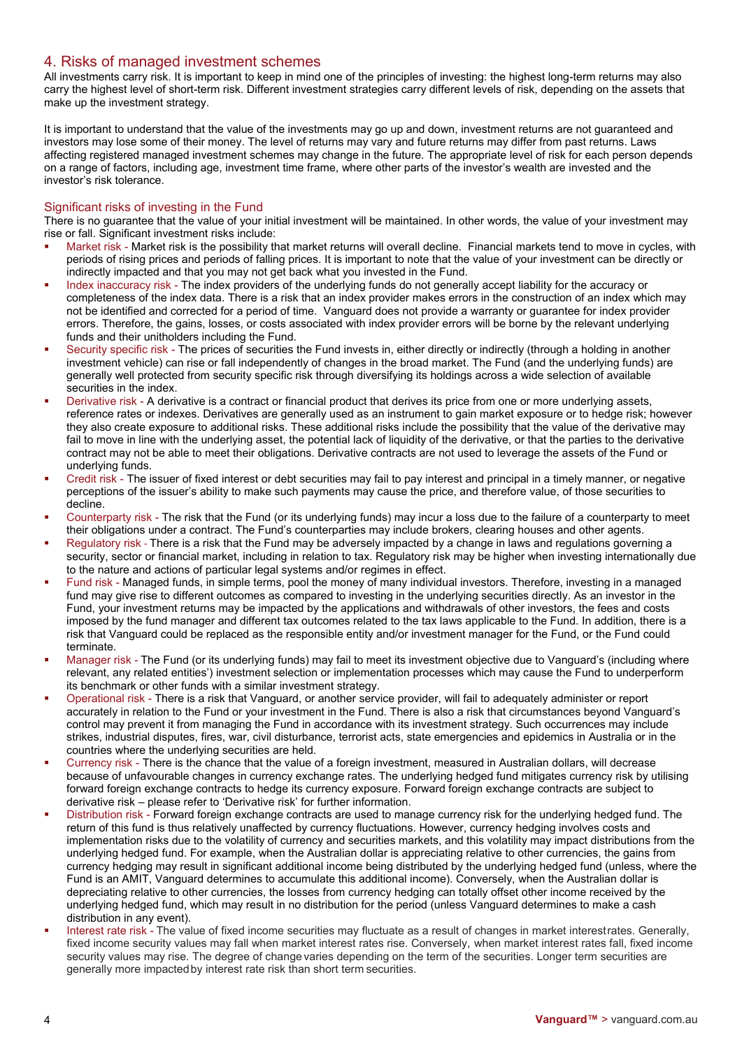# 4. Risks of managed investment schemes

All investments carry risk. It is important to keep in mind one of the principles of investing: the highest long-term returns may also carry the highest level of short-term risk. Different investment strategies carry different levels of risk, depending on the assets that make up the investment strategy.

It is important to understand that the value of the investments may go up and down, investment returns are not guaranteed and investors may lose some of their money. The level of returns may vary and future returns may differ from past returns. Laws affecting registered managed investment schemes may change in the future. The appropriate level of risk for each person depends on a range of factors, including age, investment time frame, where other parts of the investor's wealth are invested and the investor's risk tolerance.

## Significant risks of investing in the Fund

There is no guarantee that the value of your initial investment will be maintained. In other words, the value of your investment may rise or fall. Significant investment risks include:

- Market risk Market risk is the possibility that market returns will overall decline. Financial markets tend to move in cycles, with periods of rising prices and periods of falling prices. It is important to note that the value of your investment can be directly or indirectly impacted and that you may not get back what you invested in the Fund.
- Index inaccuracy risk The index providers of the underlying funds do not generally accept liability for the accuracy or completeness of the index data. There is a risk that an index provider makes errors in the construction of an index which may not be identified and corrected for a period of time. Vanguard does not provide a warranty or guarantee for index provider errors. Therefore, the gains, losses, or costs associated with index provider errors will be borne by the relevant underlying funds and their unitholders including the Fund.
- Security specific risk The prices of securities the Fund invests in, either directly or indirectly (through a holding in another investment vehicle) can rise or fall independently of changes in the broad market. The Fund (and the underlying funds) are generally well protected from security specific risk through diversifying its holdings across a wide selection of available securities in the index.
- Derivative risk A derivative is a contract or financial product that derives its price from one or more underlying assets, reference rates or indexes. Derivatives are generally used as an instrument to gain market exposure or to hedge risk; however they also create exposure to additional risks. These additional risks include the possibility that the value of the derivative may fail to move in line with the underlying asset, the potential lack of liquidity of the derivative, or that the parties to the derivative contract may not be able to meet their obligations. Derivative contracts are not used to leverage the assets of the Fund or underlying funds.
- Credit risk The issuer of fixed interest or debt securities may fail to pay interest and principal in a timely manner, or negative perceptions of the issuer's ability to make such payments may cause the price, and therefore value, of those securities to decline.
- Counterparty risk The risk that the Fund (or its underlying funds) may incur a loss due to the failure of a counterparty to meet their obligations under a contract. The Fund's counterparties may include brokers, clearing houses and other agents.
- Regulatory risk There is a risk that the Fund may be adversely impacted by a change in laws and regulations governing a security, sector or financial market, including in relation to tax. Regulatory risk may be higher when investing internationally due to the nature and actions of particular legal systems and/or regimes in effect.
- Fund risk Managed funds, in simple terms, pool the money of many individual investors. Therefore, investing in a managed fund may give rise to different outcomes as compared to investing in the underlying securities directly. As an investor in the Fund, your investment returns may be impacted by the applications and withdrawals of other investors, the fees and costs imposed by the fund manager and different tax outcomes related to the tax laws applicable to the Fund. In addition, there is a risk that Vanguard could be replaced as the responsible entity and/or investment manager for the Fund, or the Fund could terminate.
- Manager risk The Fund (or its underlying funds) may fail to meet its investment objective due to Vanguard's (including where relevant, any related entities') investment selection or implementation processes which may cause the Fund to underperform its benchmark or other funds with a similar investment strategy.
- Operational risk There is a risk that Vanguard, or another service provider, will fail to adequately administer or report accurately in relation to the Fund or your investment in the Fund. There is also a risk that circumstances beyond Vanguard's control may prevent it from managing the Fund in accordance with its investment strategy. Such occurrences may include strikes, industrial disputes, fires, war, civil disturbance, terrorist acts, state emergencies and epidemics in Australia or in the countries where the underlying securities are held.
- Currency risk There is the chance that the value of a foreign investment, measured in Australian dollars, will decrease because of unfavourable changes in currency exchange rates. The underlying hedged fund mitigates currency risk by utilising forward foreign exchange contracts to hedge its currency exposure. Forward foreign exchange contracts are subject to derivative risk – please refer to 'Derivative risk' for further information.
- Distribution risk Forward foreign exchange contracts are used to manage currency risk for the underlying hedged fund. The return of this fund is thus relatively unaffected by currency fluctuations. However, currency hedging involves costs and implementation risks due to the volatility of currency and securities markets, and this volatility may impact distributions from the underlying hedged fund. For example, when the Australian dollar is appreciating relative to other currencies, the gains from currency hedging may result in significant additional income being distributed by the underlying hedged fund (unless, where the Fund is an AMIT, Vanguard determines to accumulate this additional income). Conversely, when the Australian dollar is depreciating relative to other currencies, the losses from currency hedging can totally offset other income received by the underlying hedged fund, which may result in no distribution for the period (unless Vanguard determines to make a cash distribution in any event).
- Interest rate risk The value of fixed income securities may fluctuate as a result of changes in market interestrates. Generally, fixed income security values may fall when market interest rates rise. Conversely, when market interest rates fall, fixed income security values may rise. The degree of change varies depending on the term of the securities. Longer term securities are generally more impactedby interest rate risk than short term securities.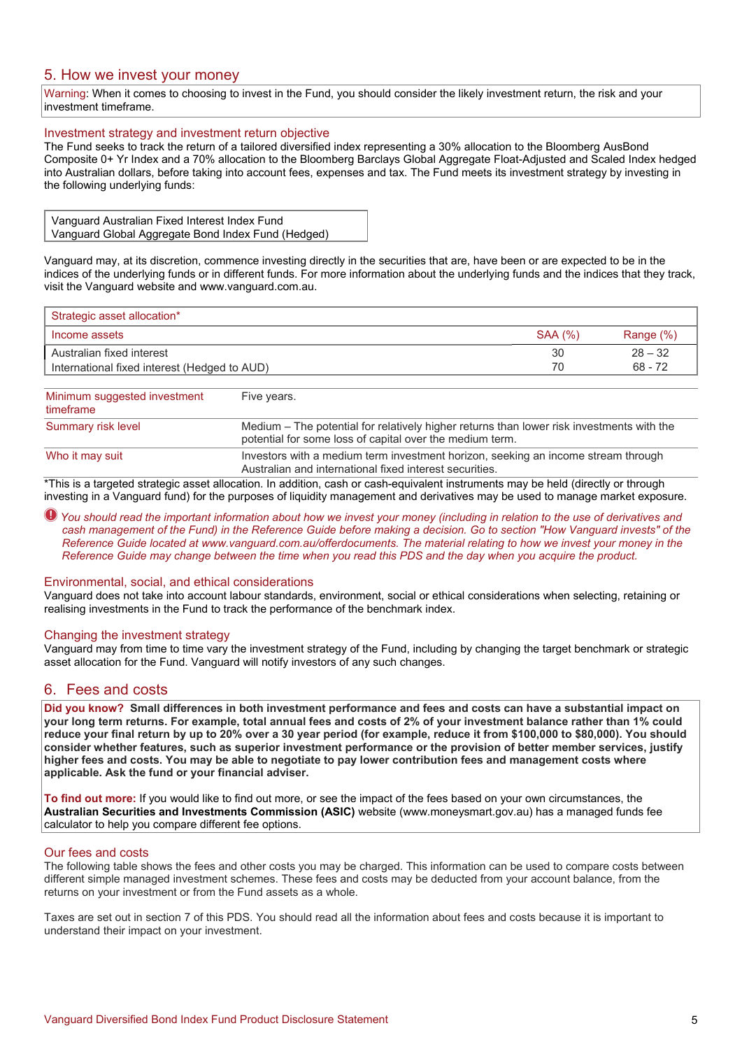# 5. How we invest your money

Warning: When it comes to choosing to invest in the Fund, you should consider the likely investment return, the risk and your investment timeframe.

## Investment strategy and investment return objective

The Fund seeks to track the return of a tailored diversified index representing a 30% allocation to the Bloomberg AusBond Composite 0+ Yr Index and a 70% allocation to the Bloomberg Barclays Global Aggregate Float-Adjusted and Scaled Index hedged into Australian dollars, before taking into account fees, expenses and tax. The Fund meets its investment strategy by investing in the following underlying funds:

| Vanguard Australian Fixed Interest Index Fund      |  |
|----------------------------------------------------|--|
| Vanguard Global Aggregate Bond Index Fund (Hedged) |  |

Vanguard may, at its discretion, commence investing directly in the securities that are, have been or are expected to be in the indices of the underlying funds or in different funds. For more information about the underlying funds and the indices that they track, visit the Vanguard website and www.vanguard.com.au.

| Strategic asset allocation*                  |                |              |
|----------------------------------------------|----------------|--------------|
| Income assets                                | <b>SAA (%)</b> | Range $(\%)$ |
| Australian fixed interest                    | 30             | $28 - 32$    |
| International fixed interest (Hedged to AUD) | 70             | $68 - 72$    |
|                                              |                |              |
| Minimum suggested investment<br>Five vears   |                |              |

| <b>TWINDING DESCRIPTION INTO A LIBRARY OF THE INC.</b><br>timeframe | $\cdots$ $\cdots$                                                                                                                                     |
|---------------------------------------------------------------------|-------------------------------------------------------------------------------------------------------------------------------------------------------|
| Summary risk level                                                  | Medium – The potential for relatively higher returns than lower risk investments with the<br>potential for some loss of capital over the medium term. |
| Who it may suit                                                     | Investors with a medium term investment horizon, seeking an income stream through<br>Australian and international fixed interest securities.          |

\*This is a targeted strategic asset allocation. In addition, cash or cash-equivalent instruments may be held (directly or through investing in a Vanguard fund) for the purposes of liquidity management and derivatives may be used to manage market exposure.

#### *You should read the important information about how we invest your money (including in relation to the use of derivatives and cash management of the Fund) in the Reference Guide before making a decision. Go to section "How Vanguard invests" of the Reference Guide located at www.vanguard.com.au/offerdocuments. The material relating to how we invest your money in the Reference Guide may change between the time when you read this PDS and the day when you acquire the product.*

#### Environmental, social, and ethical considerations

Vanguard does not take into account labour standards, environment, social or ethical considerations when selecting, retaining or realising investments in the Fund to track the performance of the benchmark index.

#### Changing the investment strategy

Vanguard may from time to time vary the investment strategy of the Fund, including by changing the target benchmark or strategic asset allocation for the Fund. Vanguard will notify investors of any such changes.

## 6. Fees and costs

**Did you know? Small differences in both investment performance and fees and costs can have a substantial impact on your long term returns. For example, total annual fees and costs of 2% of your investment balance rather than 1% could reduce your final return by up to 20% over a 30 year period (for example, reduce it from \$100,000 to \$80,000). You should consider whether features, such as superior investment performance or the provision of better member services, justify higher fees and costs. You may be able to negotiate to pay lower contribution fees and management costs where applicable. Ask the fund or your financial adviser.**

**To find out more:** If you would like to find out more, or see the impact of the fees based on your own circumstances, the **Australian Securities and Investments Commission (ASIC)** website (www.moneysmart.gov.au) has a managed funds fee calculator to help you compare different fee options.

#### Our fees and costs

The following table shows the fees and other costs you may be charged. This information can be used to compare costs between different simple managed investment schemes. These fees and costs may be deducted from your account balance, from the returns on your investment or from the Fund assets as a whole.

Taxes are set out in section 7 of this PDS. You should read all the information about fees and costs because it is important to understand their impact on your investment.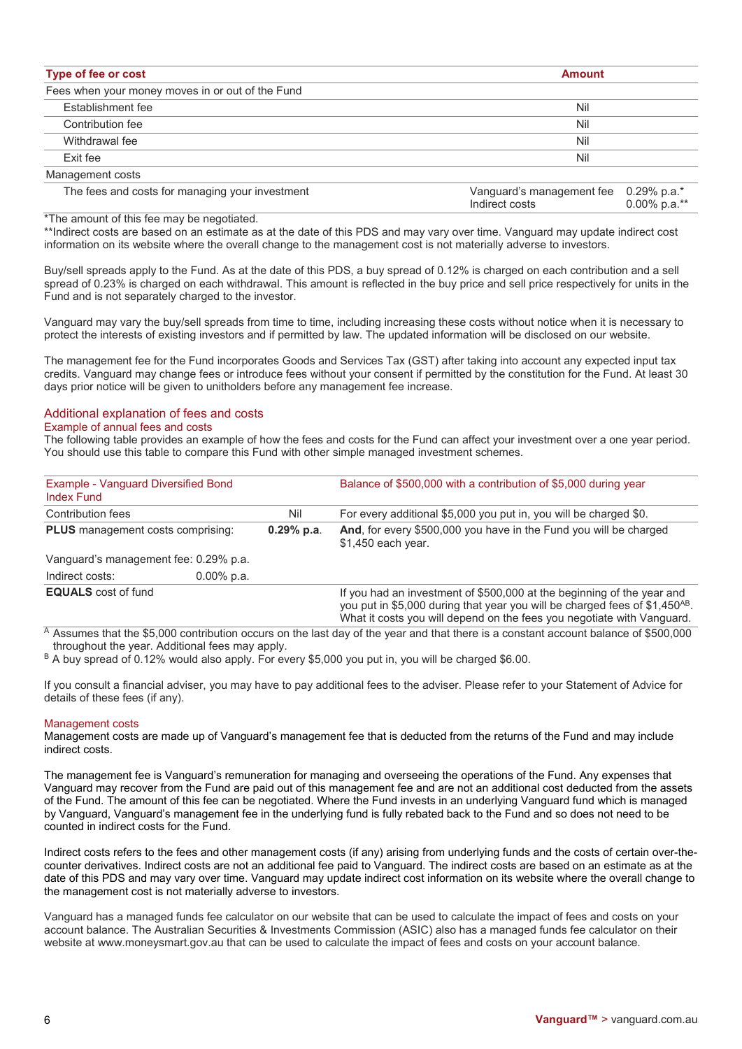| Type of fee or cost                              | <b>Amount</b> |  |
|--------------------------------------------------|---------------|--|
| Fees when your money moves in or out of the Fund |               |  |
| <b>Establishment fee</b>                         | Nil           |  |
| Contribution fee                                 | Nil           |  |
| Withdrawal fee                                   | Nil           |  |
| Exit fee                                         | Nil           |  |
| Management costs                                 |               |  |

| The fees and costs for managing your investment | Vanguard's management fee 0.29% p.a.* |              |
|-------------------------------------------------|---------------------------------------|--------------|
|                                                 | Indirect costs                        | 0.00% p.a.** |

\*The amount of this fee may be negotiated.

\*\*Indirect costs are based on an estimate as at the date of this PDS and may vary over time. Vanguard may update indirect cost information on its website where the overall change to the management cost is not materially adverse to investors.

Buy/sell spreads apply to the Fund. As at the date of this PDS, a buy spread of 0.12% is charged on each contribution and a sell spread of 0.23% is charged on each withdrawal. This amount is reflected in the buy price and sell price respectively for units in the Fund and is not separately charged to the investor.

Vanguard may vary the buy/sell spreads from time to time, including increasing these costs without notice when it is necessary to protect the interests of existing investors and if permitted by law. The updated information will be disclosed on our website.

The management fee for the Fund incorporates Goods and Services Tax (GST) after taking into account any expected input tax credits. Vanguard may change fees or introduce fees without your consent if permitted by the constitution for the Fund. At least 30 days prior notice will be given to unitholders before any management fee increase.

## Additional explanation of fees and costs

#### Example of annual fees and costs

The following table provides an example of how the fees and costs for the Fund can affect your investment over a one year period. You should use this table to compare this Fund with other simple managed investment schemes.

| Example - Vanguard Diversified Bond<br><b>Index Fund</b> |               |                     | Balance of \$500,000 with a contribution of \$5,000 during year                                                                                                                                                                             |  |
|----------------------------------------------------------|---------------|---------------------|---------------------------------------------------------------------------------------------------------------------------------------------------------------------------------------------------------------------------------------------|--|
| Contribution fees<br>PLUS management costs comprising:   |               | Nil<br>$0.29%$ p.a. | For every additional \$5,000 you put in, you will be charged \$0.<br>And, for every \$500,000 you have in the Fund you will be charged<br>\$1,450 each year.                                                                                |  |
|                                                          |               |                     |                                                                                                                                                                                                                                             |  |
| Indirect costs:                                          | $0.00\%$ p.a. |                     |                                                                                                                                                                                                                                             |  |
| <b>EQUALS</b> cost of fund                               |               |                     | If you had an investment of \$500,000 at the beginning of the year and<br>you put in \$5,000 during that year you will be charged fees of \$1,450 <sup>AB</sup> .<br>What it costs you will depend on the fees you negotiate with Vanguard. |  |

 $\overline{A}$  Assumes that the \$5,000 contribution occurs on the last day of the year and that there is a constant account balance of \$500,000 throughout the year. Additional fees may apply.

B A buy spread of 0.12% would also apply. For every \$5,000 you put in, you will be charged \$6.00.

If you consult a financial adviser, you may have to pay additional fees to the adviser. Please refer to your Statement of Advice for details of these fees (if any).

#### Management costs

Management costs are made up of Vanguard's management fee that is deducted from the returns of the Fund and may include indirect costs.

The management fee is Vanguard's remuneration for managing and overseeing the operations of the Fund. Any expenses that Vanguard may recover from the Fund are paid out of this management fee and are not an additional cost deducted from the assets of the Fund. The amount of this fee can be negotiated. Where the Fund invests in an underlying Vanguard fund which is managed by Vanguard, Vanguard's management fee in the underlying fund is fully rebated back to the Fund and so does not need to be counted in indirect costs for the Fund.

Indirect costs refers to the fees and other management costs (if any) arising from underlying funds and the costs of certain over-thecounter derivatives. Indirect costs are not an additional fee paid to Vanguard. The indirect costs are based on an estimate as at the date of this PDS and may vary over time. Vanguard may update indirect cost information on its website where the overall change to the management cost is not materially adverse to investors.

Vanguard has a managed funds fee calculator on our website that can be used to calculate the impact of fees and costs on your account balance. The Australian Securities & Investments Commission (ASIC) also has a managed funds fee calculator on their website at www.moneysmart.gov.au that can be used to calculate the impact of fees and costs on your account balance.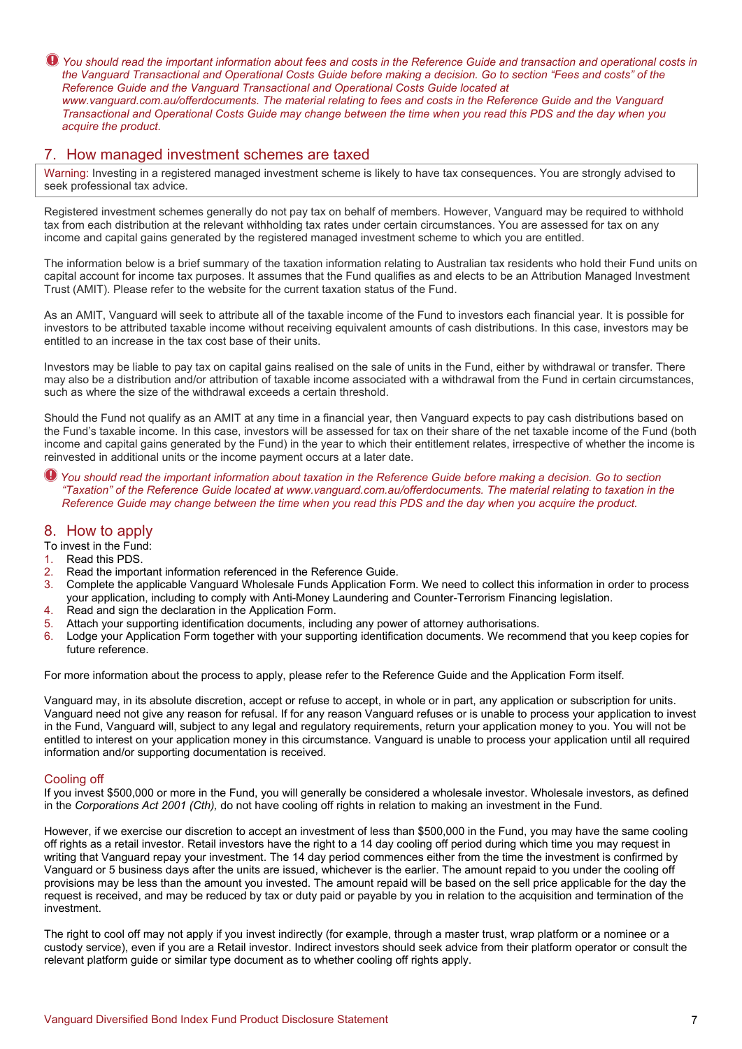$\bullet$  You should read the important information about fees and costs in the Reference Guide and transaction and operational costs in *the Vanguard Transactional and Operational Costs Guide before making a decision. Go to section "Fees and costs" of the Reference Guide and the Vanguard Transactional and Operational Costs Guide located at www.vanguard.com.au/offerdocuments. The material relating to fees and costs in the Reference Guide and the Vanguard Transactional and Operational Costs Guide may change between the time when you read this PDS and the day when you acquire the product.*

# 7. How managed investment schemes are taxed

Warning: Investing in a registered managed investment scheme is likely to have tax consequences. You are strongly advised to seek professional tax advice.

Registered investment schemes generally do not pay tax on behalf of members. However, Vanguard may be required to withhold tax from each distribution at the relevant withholding tax rates under certain circumstances. You are assessed for tax on any income and capital gains generated by the registered managed investment scheme to which you are entitled.

The information below is a brief summary of the taxation information relating to Australian tax residents who hold their Fund units on capital account for income tax purposes. It assumes that the Fund qualifies as and elects to be an Attribution Managed Investment Trust (AMIT). Please refer to the website for the current taxation status of the Fund.

As an AMIT, Vanguard will seek to attribute all of the taxable income of the Fund to investors each financial year. It is possible for investors to be attributed taxable income without receiving equivalent amounts of cash distributions. In this case, investors may be entitled to an increase in the tax cost base of their units.

Investors may be liable to pay tax on capital gains realised on the sale of units in the Fund, either by withdrawal or transfer. There may also be a distribution and/or attribution of taxable income associated with a withdrawal from the Fund in certain circumstances, such as where the size of the withdrawal exceeds a certain threshold.

Should the Fund not qualify as an AMIT at any time in a financial year, then Vanguard expects to pay cash distributions based on the Fund's taxable income. In this case, investors will be assessed for tax on their share of the net taxable income of the Fund (both income and capital gains generated by the Fund) in the year to which their entitlement relates, irrespective of whether the income is reinvested in additional units or the income payment occurs at a later date.

*You should read the important information about taxation in the Reference Guide before making a decision. Go to section "Taxation" of the Reference Guide located at www.vanguard.com.au/offerdocuments. The material relating to taxation in the Reference Guide may change between the time when you read this PDS and the day when you acquire the product.* 

# 8. How to apply

- To invest in the Fund:
- 1. Read this PDS.
- 2. Read the important information referenced in the Reference Guide.<br>3. Complete the applicable Vanguard Wholesale Funds Application Fo
- 3. Complete the applicable Vanguard Wholesale Funds Application Form. We need to collect this information in order to process your application, including to comply with Anti-Money Laundering and Counter-Terrorism Financing legislation.
- 4. Read and sign the declaration in the Application Form.
- 5. Attach your supporting identification documents, including any power of attorney authorisations.
- 6. Lodge your Application Form together with your supporting identification documents. We recommend that you keep copies for future reference.

For more information about the process to apply, please refer to the Reference Guide and the Application Form itself.

Vanguard may, in its absolute discretion, accept or refuse to accept, in whole or in part, any application or subscription for units. Vanguard need not give any reason for refusal. If for any reason Vanguard refuses or is unable to process your application to invest in the Fund, Vanguard will, subject to any legal and regulatory requirements, return your application money to you. You will not be entitled to interest on your application money in this circumstance. Vanguard is unable to process your application until all required information and/or supporting documentation is received.

#### Cooling off

If you invest \$500,000 or more in the Fund, you will generally be considered a wholesale investor. Wholesale investors, as defined in the *Corporations Act 2001 (Cth),* do not have cooling off rights in relation to making an investment in the Fund.

However, if we exercise our discretion to accept an investment of less than \$500,000 in the Fund, you may have the same cooling off rights as a retail investor. Retail investors have the right to a 14 day cooling off period during which time you may request in writing that Vanguard repay your investment. The 14 day period commences either from the time the investment is confirmed by Vanguard or 5 business days after the units are issued, whichever is the earlier. The amount repaid to you under the cooling off provisions may be less than the amount you invested. The amount repaid will be based on the sell price applicable for the day the request is received, and may be reduced by tax or duty paid or payable by you in relation to the acquisition and termination of the investment.

The right to cool off may not apply if you invest indirectly (for example, through a master trust, wrap platform or a nominee or a custody service), even if you are a Retail investor. Indirect investors should seek advice from their platform operator or consult the relevant platform guide or similar type document as to whether cooling off rights apply.